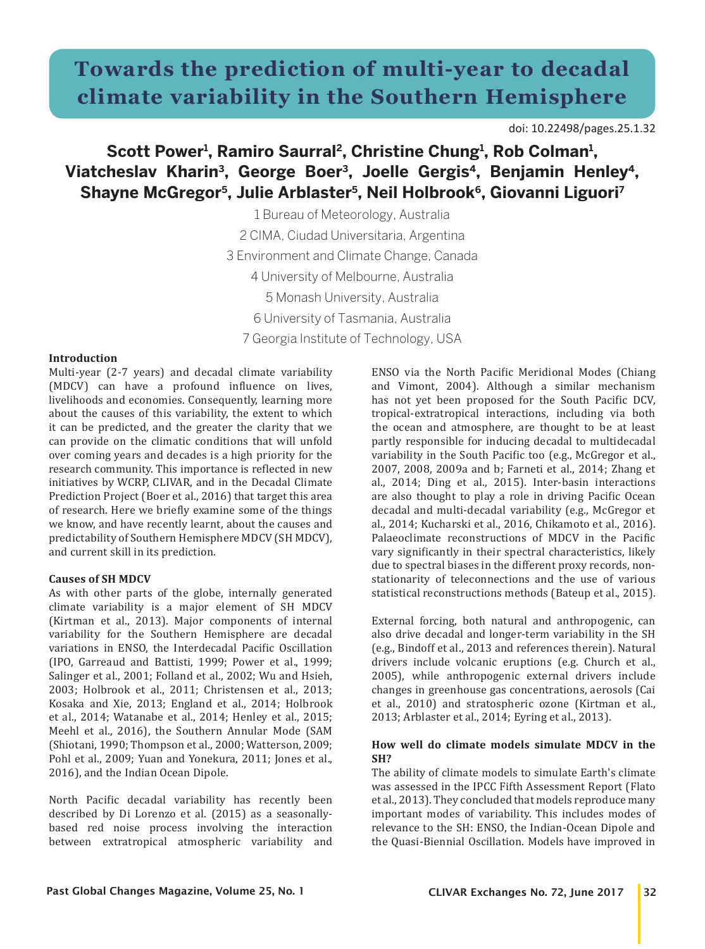# **Towards the prediction of multi-year to decadal climate variability in the Southern Hemisphere**

doi: 10.22498/pages.25.1.32

# Scott Power<sup>1</sup>, Ramiro Saurral<sup>2</sup>, Christine Chung<sup>1</sup>, Rob Colman<sup>1</sup>, **Viatcheslav Kharin3, George Boer3, Joelle Gergis4, Benjamin Henley4, Shayne McGregor5, Julie Arblaster5, Neil Holbrook6, Giovanni Liguori7**

1 Bureau of Meteorology, Australia 2 CIMA, Ciudad Universitaria, Argentina 3 Environment and Climate Change, Canada 4 University of Melbourne, Australia 5 Monash University, Australia 6 University of Tasmania, Australia 7 Georgia Institute of Technology, USA

## **Introduction**

Multi-year (2-7 years) and decadal climate variability (MDCV) can have a profound influence on lives, livelihoods and economies. Consequently, learning more about the causes of this variability, the extent to which it can be predicted, and the greater the clarity that we can provide on the climatic conditions that will unfold over coming years and decades is a high priority for the research community. This importance is reflected in new initiatives by WCRP, CLIVAR, and in the Decadal Climate Prediction Project (Boer et al., 2016) that target this area of research. Here we briefly examine some of the things we know, and have recently learnt, about the causes and predictability of Southern Hemisphere MDCV (SH MDCV), and current skill in its prediction.

## **Causes of SH MDCV**

As with other parts of the globe, internally generated climate variability is a major element of SH MDCV (Kirtman et al., 2013). Major components of internal variability for the Southern Hemisphere are decadal variations in ENSO, the Interdecadal Pacific Oscillation (IPO, Garreaud and Battisti, 1999; Power et al., 1999; Salinger et al., 2001; Folland et al., 2002; Wu and Hsieh, 2003; Holbrook et al., 2011; Christensen et al., 2013; Kosaka and Xie, 2013; England et al., 2014; Holbrook et al., 2014; Watanabe et al., 2014; Henley et al., 2015; Meehl et al., 2016), the Southern Annular Mode (SAM (Shiotani, 1990; Thompson et al., 2000; Watterson, 2009; Pohl et al., 2009; Yuan and Yonekura, 2011; Jones et al., 2016), and the Indian Ocean Dipole.

North Pacific decadal variability has recently been described by Di Lorenzo et al. (2015) as a seasonallybased red noise process involving the interaction between extratropical atmospheric variability and ENSO via the North Pacific Meridional Modes (Chiang and Vimont, 2004). Although a similar mechanism has not yet been proposed for the South Pacific DCV, tropical-extratropical interactions, including via both the ocean and atmosphere, are thought to be at least partly responsible for inducing decadal to multidecadal variability in the South Pacific too (e.g., McGregor et al., 2007, 2008, 2009a and b; Farneti et al., 2014; Zhang et al., 2014; Ding et al., 2015). Inter-basin interactions are also thought to play a role in driving Pacific Ocean decadal and multi-decadal variability (e.g., McGregor et al., 2014; Kucharski et al., 2016, Chikamoto et al., 2016). Palaeoclimate reconstructions of MDCV in the Pacific vary significantly in their spectral characteristics, likely due to spectral biases in the different proxy records, nonstationarity of teleconnections and the use of various statistical reconstructions methods (Bateup et al., 2015).

External forcing, both natural and anthropogenic, can also drive decadal and longer-term variability in the SH (e.g., Bindoff et al., 2013 and references therein). Natural drivers include volcanic eruptions (e.g. Church et al., 2005), while anthropogenic external drivers include changes in greenhouse gas concentrations, aerosols (Cai et al., 2010) and stratospheric ozone (Kirtman et al., 2013; Arblaster et al., 2014; Eyring et al., 2013).

## **How well do climate models simulate MDCV in the SH?**

The ability of climate models to simulate Earth's climate was assessed in the IPCC Fifth Assessment Report (Flato et al., 2013). They concluded that models reproduce many important modes of variability. This includes modes of relevance to the SH: ENSO, the Indian-Ocean Dipole and the Quasi-Biennial Oscillation. Models have improved in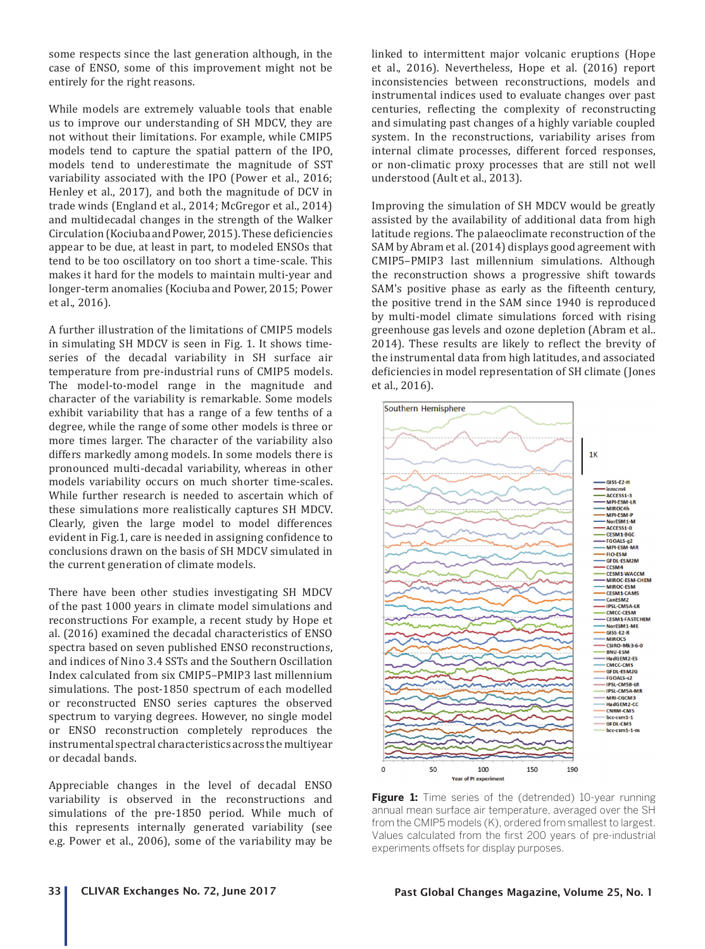some respects since the last generation although, in the case of ENSO, some of this improvement might not be entirely for the right reasons.

While models are extremely valuable tools that enable us to improve our understanding of SH MDCV, they are not without their limitations. For example, while CMIP5 models tend to capture the spatial pattern of the IPO, models tend to underestimate the magnitude of SST variability associated with the IPO (Power et al., 2016; Henley et al., 2017), and both the magnitude of DCV in trade winds (England et al., 2014; McGregor et al., 2014) and multidecadal changes in the strength of the Walker Circulation (Kociuba and Power, 2015). These deficiencies appear to be due, at least in part, to modeled ENSOs that tend to be too oscillatory on too short a time-scale. This makes it hard for the models to maintain multi-year and longer-term anomalies (Kociuba and Power, 2015; Power et al., 2016).

A further illustration of the limitations of CMIP5 models in simulating SH MDCV is seen in Fig. 1. It shows timeseries of the decadal variability in SH surface air temperature from pre-industrial runs of CMIP5 models. The model-to-model range in the magnitude and character of the variability is remarkable. Some models exhibit variability that has a range of a few tenths of a degree, while the range of some other models is three or more times larger. The character of the variability also differs markedly among models. In some models there is pronounced multi-decadal variability, whereas in other models variability occurs on much shorter time-scales. While further research is needed to ascertain which of these simulations more realistically captures SH MDCV. Clearly, given the large model to model differences evident in Fig.1, care is needed in assigning confidence to conclusions drawn on the basis of SH MDCV simulated in the current generation of climate models.

There have been other studies investigating SH MDCV of the past 1000 years in climate model simulations and reconstructions For example, a recent study by Hope et al. (2016) examined the decadal characteristics of ENSO spectra based on seven published ENSO reconstructions, and indices of Nino 3.4 SSTs and the Southern Oscillation Index calculated from six CMIP5–PMIP3 last millennium simulations. The post-1850 spectrum of each modelled or reconstructed ENSO series captures the observed spectrum to varying degrees. However, no single model or ENSO reconstruction completely reproduces the instrumental spectral characteristics across the multiyear or decadal bands.

Appreciable changes in the level of decadal ENSO variability is observed in the reconstructions and simulations of the pre-1850 period. While much of this represents internally generated variability (see e.g. Power et al., 2006), some of the variability may be linked to intermittent major volcanic eruptions (Hope et al., 2016). Nevertheless, Hope et al. (2016) report inconsistencies between reconstructions, models and instrumental indices used to evaluate changes over past centuries, reflecting the complexity of reconstructing and simulating past changes of a highly variable coupled system. In the reconstructions, variability arises from internal climate processes, different forced responses, or non-climatic proxy processes that are still not well understood (Ault et al., 2013).

Improving the simulation of SH MDCV would be greatly assisted by the availability of additional data from high latitude regions. The palaeoclimate reconstruction of the SAM by Abram et al. (2014) displays good agreement with CMIP5–PMIP3 last millennium simulations. Although the reconstruction shows a progressive shift towards SAM's positive phase as early as the fifteenth century, the positive trend in the SAM since 1940 is reproduced by multi-model climate simulations forced with rising greenhouse gas levels and ozone depletion (Abram et al.. 2014). These results are likely to reflect the brevity of the instrumental data from high latitudes, and associated deficiencies in model representation of SH climate (Jones et al., 2016).



**Figure 1:** Time series of the (detrended) 10-year running annual mean surface air temperature, averaged over the SH from the CMIP5 models (K), ordered from smallest to largest. Values calculated from the first 200 years of pre-industrial experiments offsets for display purposes.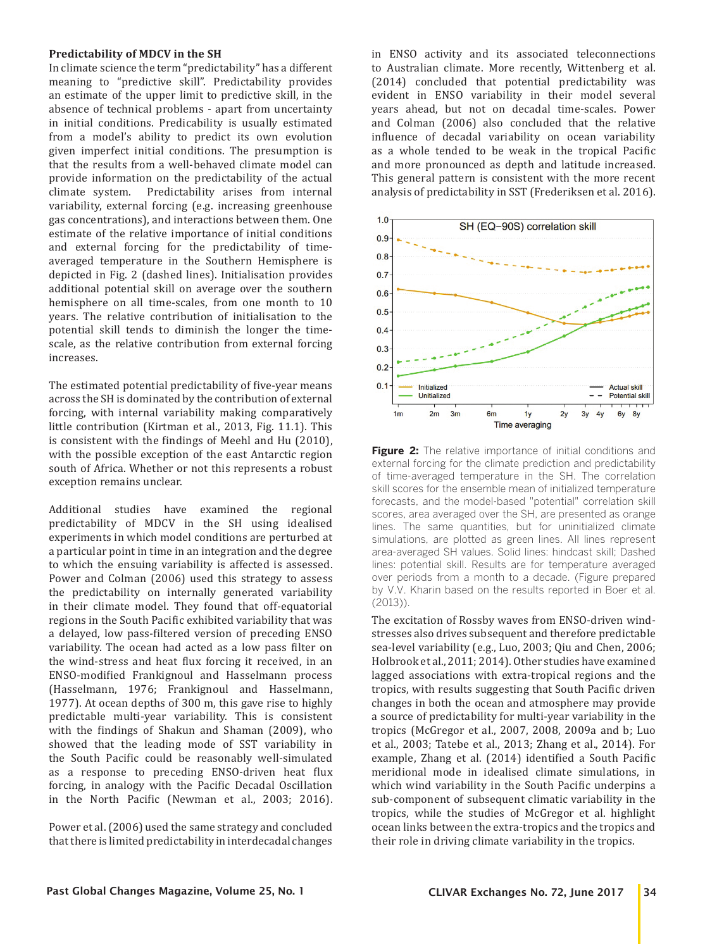#### **Predictability of MDCV in the SH**

In climate science the term "predictability" has a different meaning to "predictive skill". Predictability provides an estimate of the upper limit to predictive skill, in the absence of technical problems - apart from uncertainty in initial conditions. Predicability is usually estimated from a model's ability to predict its own evolution given imperfect initial conditions. The presumption is that the results from a well-behaved climate model can provide information on the predictability of the actual climate system. Predictability arises from internal Predictability arises from internal variability, external forcing (e.g. increasing greenhouse gas concentrations), and interactions between them. One estimate of the relative importance of initial conditions and external forcing for the predictability of timeaveraged temperature in the Southern Hemisphere is depicted in Fig. 2 (dashed lines). Initialisation provides additional potential skill on average over the southern hemisphere on all time-scales, from one month to 10 years. The relative contribution of initialisation to the potential skill tends to diminish the longer the timescale, as the relative contribution from external forcing increases.

The estimated potential predictability of five-year means across the SH is dominated by the contribution of external forcing, with internal variability making comparatively little contribution (Kirtman et al., 2013, Fig. 11.1). This is consistent with the findings of Meehl and Hu (2010), with the possible exception of the east Antarctic region south of Africa. Whether or not this represents a robust exception remains unclear.

Additional studies have examined the regional predictability of MDCV in the SH using idealised experiments in which model conditions are perturbed at a particular point in time in an integration and the degree to which the ensuing variability is affected is assessed. Power and Colman (2006) used this strategy to assess the predictability on internally generated variability in their climate model. They found that off-equatorial regions in the South Pacific exhibited variability that was a delayed, low pass-filtered version of preceding ENSO variability. The ocean had acted as a low pass filter on the wind-stress and heat flux forcing it received, in an ENSO-modified Frankignoul and Hasselmann process (Hasselmann, 1976; Frankignoul and Hasselmann, 1977). At ocean depths of 300 m, this gave rise to highly predictable multi-year variability. This is consistent with the findings of Shakun and Shaman (2009), who showed that the leading mode of SST variability in the South Pacific could be reasonably well-simulated as a response to preceding ENSO-driven heat flux forcing, in analogy with the Pacific Decadal Oscillation in the North Pacific (Newman et al., 2003; 2016).

Power et al. (2006) used the same strategy and concluded that there is limited predictability in interdecadal changes in ENSO activity and its associated teleconnections to Australian climate. More recently, Wittenberg et al. (2014) concluded that potential predictability was evident in ENSO variability in their model several years ahead, but not on decadal time-scales. Power and Colman (2006) also concluded that the relative influence of decadal variability on ocean variability as a whole tended to be weak in the tropical Pacific and more pronounced as depth and latitude increased. This general pattern is consistent with the more recent analysis of predictability in SST (Frederiksen et al. 2016).



**Figure 2:** The relative importance of initial conditions and external forcing for the climate prediction and predictability of time-averaged temperature in the SH. The correlation skill scores for the ensemble mean of initialized temperature forecasts, and the model-based "potential" correlation skill scores, area averaged over the SH, are presented as orange lines. The same quantities, but for uninitialized climate simulations, are plotted as green lines. All lines represent area-averaged SH values. Solid lines: hindcast skill; Dashed lines: potential skill. Results are for temperature averaged over periods from a month to a decade. (Figure prepared by V.V. Kharin based on the results reported in Boer et al. (2013)).

The excitation of Rossby waves from ENSO-driven windstresses also drives subsequent and therefore predictable sea-level variability (e.g., Luo, 2003; Qiu and Chen, 2006; Holbrook et al., 2011; 2014). Other studies have examined lagged associations with extra-tropical regions and the tropics, with results suggesting that South Pacific driven changes in both the ocean and atmosphere may provide a source of predictability for multi-year variability in the tropics (McGregor et al., 2007, 2008, 2009a and b; Luo et al., 2003; Tatebe et al., 2013; Zhang et al., 2014). For example, Zhang et al. (2014) identified a South Pacific meridional mode in idealised climate simulations, in which wind variability in the South Pacific underpins a sub-component of subsequent climatic variability in the tropics, while the studies of McGregor et al. highlight ocean links between the extra-tropics and the tropics and their role in driving climate variability in the tropics.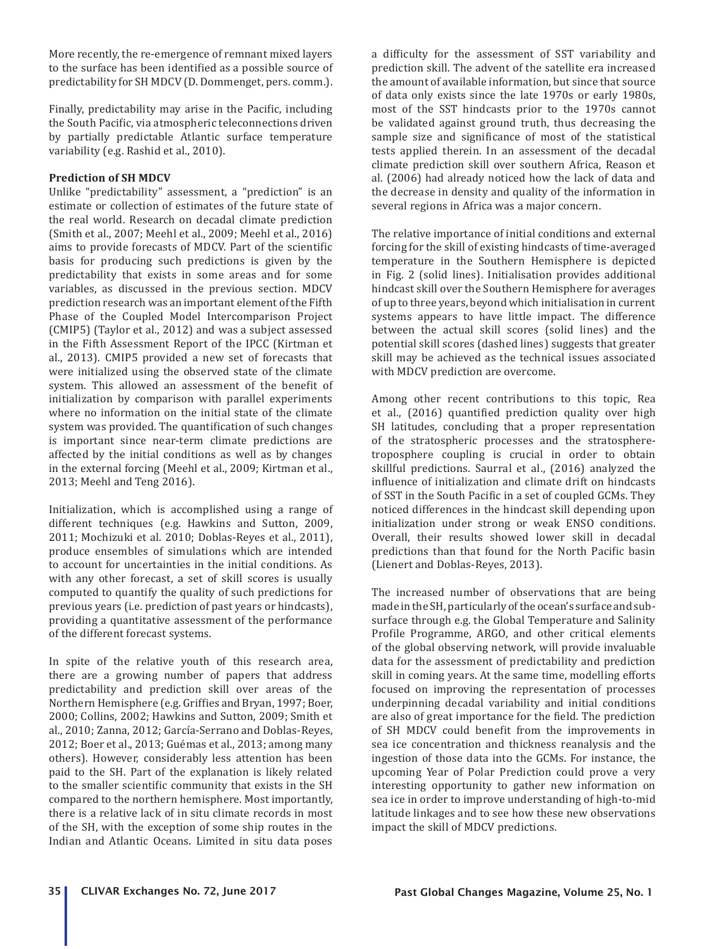More recently, the re-emergence of remnant mixed layers to the surface has been identified as a possible source of predictability for SH MDCV (D. Dommenget, pers. comm.).

Finally, predictability may arise in the Pacific, including the South Pacific, via atmospheric teleconnections driven by partially predictable Atlantic surface temperature variability (e.g. Rashid et al., 2010).

# **Prediction of SH MDCV**

Unlike "predictability" assessment, a "prediction" is an estimate or collection of estimates of the future state of the real world. Research on decadal climate prediction (Smith et al., 2007; Meehl et al., 2009; Meehl et al., 2016) aims to provide forecasts of MDCV. Part of the scientific basis for producing such predictions is given by the predictability that exists in some areas and for some variables, as discussed in the previous section. MDCV prediction research was an important element of the Fifth Phase of the Coupled Model Intercomparison Project (CMIP5) (Taylor et al., 2012) and was a subject assessed in the Fifth Assessment Report of the IPCC (Kirtman et al., 2013). CMIP5 provided a new set of forecasts that were initialized using the observed state of the climate system. This allowed an assessment of the benefit of initialization by comparison with parallel experiments where no information on the initial state of the climate system was provided. The quantification of such changes is important since near-term climate predictions are affected by the initial conditions as well as by changes in the external forcing (Meehl et al., 2009; Kirtman et al., 2013; Meehl and Teng 2016).

Initialization, which is accomplished using a range of different techniques (e.g. Hawkins and Sutton, 2009, 2011; Mochizuki et al. 2010; Doblas-Reyes et al., 2011), produce ensembles of simulations which are intended to account for uncertainties in the initial conditions. As with any other forecast, a set of skill scores is usually computed to quantify the quality of such predictions for previous years (i.e. prediction of past years or hindcasts), providing a quantitative assessment of the performance of the different forecast systems.

In spite of the relative youth of this research area, there are a growing number of papers that address predictability and prediction skill over areas of the Northern Hemisphere (e.g. Griffies and Bryan, 1997; Boer, 2000; Collins, 2002; Hawkins and Sutton, 2009; Smith et al., 2010; Zanna, 2012; García-Serrano and Doblas-Reyes, 2012; Boer et al., 2013; Guémas et al., 2013; among many others). However, considerably less attention has been paid to the SH. Part of the explanation is likely related to the smaller scientific community that exists in the SH compared to the northern hemisphere. Most importantly, there is a relative lack of in situ climate records in most of the SH, with the exception of some ship routes in the Indian and Atlantic Oceans. Limited in situ data poses a difficulty for the assessment of SST variability and prediction skill. The advent of the satellite era increased the amount of available information, but since that source of data only exists since the late 1970s or early 1980s, most of the SST hindcasts prior to the 1970s cannot be validated against ground truth, thus decreasing the sample size and significance of most of the statistical tests applied therein. In an assessment of the decadal climate prediction skill over southern Africa, Reason et al. (2006) had already noticed how the lack of data and the decrease in density and quality of the information in several regions in Africa was a major concern.

The relative importance of initial conditions and external forcing for the skill of existing hindcasts of time-averaged temperature in the Southern Hemisphere is depicted in Fig. 2 (solid lines). Initialisation provides additional hindcast skill over the Southern Hemisphere for averages of up to three years, beyond which initialisation in current systems appears to have little impact. The difference between the actual skill scores (solid lines) and the potential skill scores (dashed lines) suggests that greater skill may be achieved as the technical issues associated with MDCV prediction are overcome.

Among other recent contributions to this topic, Rea et al., (2016) quantified prediction quality over high SH latitudes, concluding that a proper representation of the stratospheric processes and the stratospheretroposphere coupling is crucial in order to obtain skillful predictions. Saurral et al., (2016) analyzed the influence of initialization and climate drift on hindcasts of SST in the South Pacific in a set of coupled GCMs. They noticed differences in the hindcast skill depending upon initialization under strong or weak ENSO conditions. Overall, their results showed lower skill in decadal predictions than that found for the North Pacific basin (Lienert and Doblas-Reyes, 2013).

The increased number of observations that are being made in the SH, particularly of the ocean's surface and subsurface through e.g. the Global Temperature and Salinity Profile Programme, ARGO, and other critical elements of the global observing network, will provide invaluable data for the assessment of predictability and prediction skill in coming years. At the same time, modelling efforts focused on improving the representation of processes underpinning decadal variability and initial conditions are also of great importance for the field. The prediction of SH MDCV could benefit from the improvements in sea ice concentration and thickness reanalysis and the ingestion of those data into the GCMs. For instance, the upcoming Year of Polar Prediction could prove a very interesting opportunity to gather new information on sea ice in order to improve understanding of high-to-mid latitude linkages and to see how these new observations impact the skill of MDCV predictions.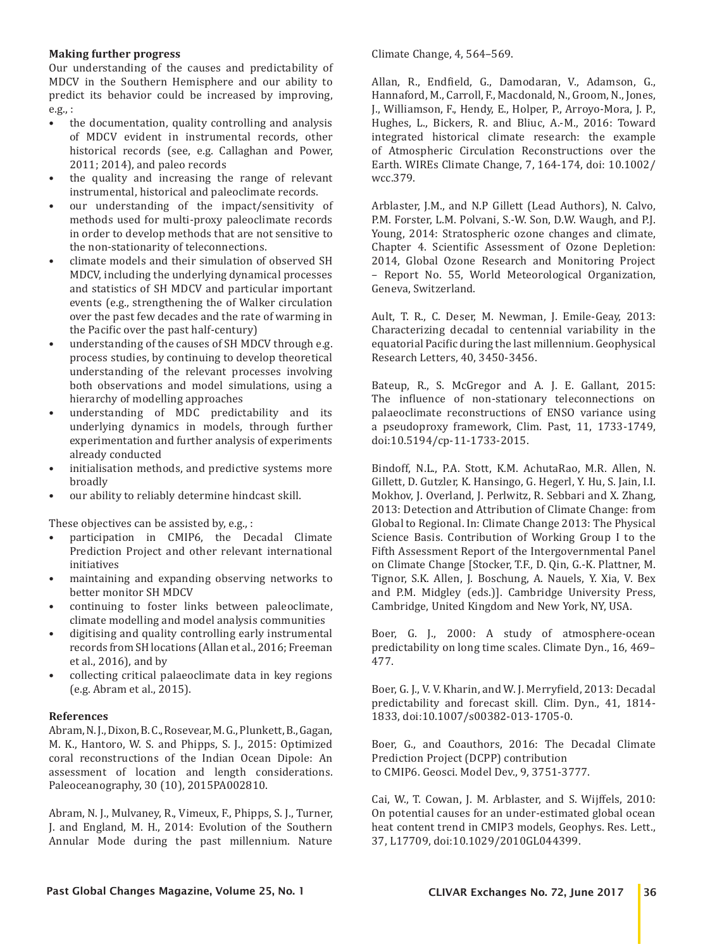#### **Making further progress**

Our understanding of the causes and predictability of MDCV in the Southern Hemisphere and our ability to predict its behavior could be increased by improving, e.g., :

- the documentation, quality controlling and analysis of MDCV evident in instrumental records, other historical records (see, e.g. Callaghan and Power, 2011; 2014), and paleo records
- the quality and increasing the range of relevant instrumental, historical and paleoclimate records.
- our understanding of the impact/sensitivity of methods used for multi-proxy paleoclimate records in order to develop methods that are not sensitive to the non-stationarity of teleconnections.
- climate models and their simulation of observed SH MDCV, including the underlying dynamical processes and statistics of SH MDCV and particular important events (e.g., strengthening the of Walker circulation over the past few decades and the rate of warming in the Pacific over the past half-century)
- understanding of the causes of SH MDCV through e.g. process studies, by continuing to develop theoretical understanding of the relevant processes involving both observations and model simulations, using a hierarchy of modelling approaches
- understanding of MDC predictability and its underlying dynamics in models, through further experimentation and further analysis of experiments already conducted
- initialisation methods, and predictive systems more broadly
- our ability to reliably determine hindcast skill.

These objectives can be assisted by, e.g., :

- participation in CMIP6, the Decadal Climate Prediction Project and other relevant international initiatives
- maintaining and expanding observing networks to better monitor SH MDCV
- continuing to foster links between paleoclimate, climate modelling and model analysis communities
- digitising and quality controlling early instrumental records from SH locations (Allan et al., 2016; Freeman et al., 2016), and by
- collecting critical palaeoclimate data in key regions (e.g. Abram et al., 2015).

#### **References**

Abram, N. J., Dixon, B. C., Rosevear, M. G., Plunkett, B., Gagan, M. K., Hantoro, W. S. and Phipps, S. J., 2015: Optimized coral reconstructions of the Indian Ocean Dipole: An assessment of location and length considerations. Paleoceanography, 30 (10), 2015PA002810.

Abram, N. J., Mulvaney, R., Vimeux, F., Phipps, S. J., Turner, J. and England, M. H., 2014: Evolution of the Southern Annular Mode during the past millennium. Nature Climate Change, 4, 564–569.

Allan, R., Endfield, G., Damodaran, V., Adamson, G., Hannaford, M., Carroll, F., Macdonald, N., Groom, N., Jones, J., Williamson, F., Hendy, E., Holper, P., Arroyo-Mora, J. P., Hughes, L., Bickers, R. and Bliuc, A.-M., 2016: Toward integrated historical climate research: the example of Atmospheric Circulation Reconstructions over the Earth. WIREs Climate Change, 7, 164-174, doi: 10.1002/ wcc.379.

Arblaster, J.M., and N.P Gillett (Lead Authors), N. Calvo, P.M. Forster, L.M. Polvani, S.-W. Son, D.W. Waugh, and P.J. Young, 2014: Stratospheric ozone changes and climate, Chapter 4. Scientific Assessment of Ozone Depletion: 2014, Global Ozone Research and Monitoring Project – Report No. 55, World Meteorological Organization, Geneva, Switzerland.

Ault, T. R., C. Deser, M. Newman, J. Emile‐Geay, 2013: Characterizing decadal to centennial variability in the equatorial Pacific during the last millennium. Geophysical Research Letters, 40, 3450-3456.

Bateup, R., S. McGregor and A. J. E. Gallant, 2015: The influence of non-stationary teleconnections on palaeoclimate reconstructions of ENSO variance using a pseudoproxy framework, Clim. Past, 11, 1733-1749, doi:10.5194/cp-11-1733-2015.

Bindoff, N.L., P.A. Stott, K.M. AchutaRao, M.R. Allen, N. Gillett, D. Gutzler, K. Hansingo, G. Hegerl, Y. Hu, S. Jain, I.I. Mokhov, J. Overland, J. Perlwitz, R. Sebbari and X. Zhang, 2013: Detection and Attribution of Climate Change: from Global to Regional. In: Climate Change 2013: The Physical Science Basis. Contribution of Working Group I to the Fifth Assessment Report of the Intergovernmental Panel on Climate Change [Stocker, T.F., D. Qin, G.-K. Plattner, M. Tignor, S.K. Allen, J. Boschung, A. Nauels, Y. Xia, V. Bex and P.M. Midgley (eds.)]. Cambridge University Press, Cambridge, United Kingdom and New York, NY, USA.

Boer, G. J., 2000: A study of atmosphere-ocean predictability on long time scales. Climate Dyn., 16, 469– 477.

Boer, G. J., V. V. Kharin, and W. J. Merryfield, 2013: Decadal predictability and forecast skill. Clim. Dyn., 41, 1814- 1833, doi:10.1007/s00382-013-1705-0.

Boer, G., and Coauthors, 2016: The Decadal Climate Prediction Project (DCPP) contribution to CMIP6. Geosci. Model Dev., 9, 3751-3777.

Cai, W., T. Cowan, J. M. Arblaster, and S. Wijffels, 2010: On potential causes for an under-estimated global ocean heat content trend in CMIP3 models, Geophys. Res. Lett., 37, L17709, doi:10.1029/2010GL044399.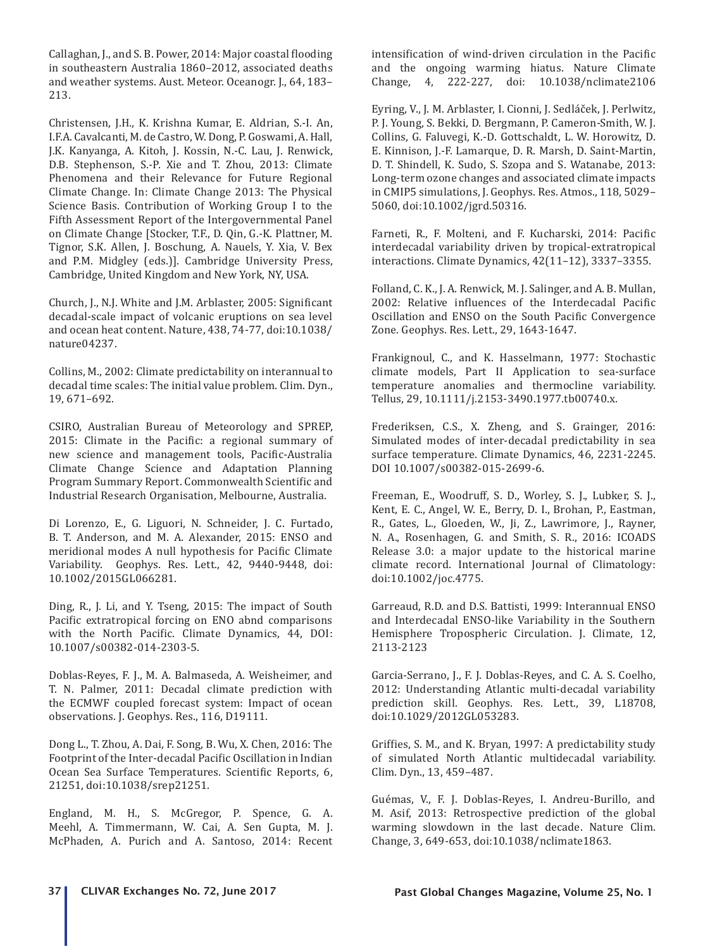Callaghan, J., and S. B. Power, 2014: Major coastal flooding in southeastern Australia 1860–2012, associated deaths and weather systems. Aust. Meteor. Oceanogr. J., 64, 183– 213.

Christensen, J.H., K. Krishna Kumar, E. Aldrian, S.-I. An, I.F.A. Cavalcanti, M. de Castro, W. Dong, P. Goswami, A. Hall, J.K. Kanyanga, A. Kitoh, J. Kossin, N.-C. Lau, J. Renwick, D.B. Stephenson, S.-P. Xie and T. Zhou, 2013: Climate Phenomena and their Relevance for Future Regional Climate Change. In: Climate Change 2013: The Physical Science Basis. Contribution of Working Group I to the Fifth Assessment Report of the Intergovernmental Panel on Climate Change [Stocker, T.F., D. Qin, G.-K. Plattner, M. Tignor, S.K. Allen, J. Boschung, A. Nauels, Y. Xia, V. Bex and P.M. Midgley (eds.)]. Cambridge University Press, Cambridge, United Kingdom and New York, NY, USA.

Church, J., N.J. White and J.M. Arblaster, 2005: Significant decadal-scale impact of volcanic eruptions on sea level and ocean heat content. Nature, 438, 74-77, doi:10.1038/ nature04237.

Collins, M., 2002: Climate predictability on interannual to decadal time scales: The initial value problem. Clim. Dyn., 19, 671–692.

CSIRO, Australian Bureau of Meteorology and SPREP, 2015: Climate in the Pacific: a regional summary of new science and management tools, Pacific-Australia Climate Change Science and Adaptation Planning Program Summary Report. Commonwealth Scientific and Industrial Research Organisation, Melbourne, Australia.

Di Lorenzo, E., G. Liguori, N. Schneider, J. C. Furtado, B. T. Anderson, and M. A. Alexander, 2015: ENSO and meridional modes A null hypothesis for Pacific Climate Variability. Geophys. Res. Lett., 42, 9440-9448, doi: 10.1002/2015GL066281.

Ding, R., J. Li, and Y. Tseng, 2015: The impact of South Pacific extratropical forcing on ENO abnd comparisons with the North Pacific. Climate Dynamics, 44, DOI: 10.1007/s00382-014-2303-5.

Doblas-Reyes, F. J., M. A. Balmaseda, A. Weisheimer, and T. N. Palmer, 2011: Decadal climate prediction with the ECMWF coupled forecast system: Impact of ocean observations. J. Geophys. Res., 116, D19111.

Dong L., T. Zhou, A. Dai, F. Song, B. Wu, X. Chen, 2016: The Footprint of the Inter-decadal Pacific Oscillation in Indian Ocean Sea Surface Temperatures. Scientific Reports, 6, 21251, doi:10.1038/srep21251.

England, M. H., S. McGregor, P. Spence, G. A. Meehl, A. Timmermann, W. Cai, A. Sen Gupta, M. J. McPhaden, A. Purich and A. Santoso, 2014: Recent intensification of wind-driven circulation in the Pacific and the ongoing warming hiatus. Nature Climate Change, 4, 222-227, doi: 10.1038/nclimate2106

Eyring, V., J. M. Arblaster, I. Cionni, J. Sedláček, J. Perlwitz, P. J. Young, S. Bekki, D. Bergmann, P. Cameron-Smith, W. J. Collins, G. Faluvegi, K.-D. Gottschaldt, L. W. Horowitz, D. E. Kinnison, J.-F. Lamarque, D. R. Marsh, D. Saint-Martin, D. T. Shindell, K. Sudo, S. Szopa and S. Watanabe, 2013: Long-term ozone changes and associated climate impacts in CMIP5 simulations, J. Geophys. Res. Atmos., 118, 5029– 5060, doi:10.1002/jgrd.50316.

Farneti, R., F. Molteni, and F. Kucharski, 2014: Pacific interdecadal variability driven by tropical-extratropical interactions. Climate Dynamics, 42(11–12), 3337–3355.

Folland, C. K., J. A. Renwick, M. J. Salinger, and A. B. Mullan, 2002: Relative influences of the Interdecadal Pacific Oscillation and ENSO on the South Pacific Convergence Zone. Geophys. Res. Lett., 29, 1643-1647.

Frankignoul, C., and K. Hasselmann, 1977: Stochastic climate models, Part II Application to sea-surface temperature anomalies and thermocline variability. Tellus, 29, 10.1111/j.2153-3490.1977.tb00740.x.

Frederiksen, C.S., X. Zheng, and S. Grainger, 2016: Simulated modes of inter-decadal predictability in sea surface temperature. Climate Dynamics, 46, 2231-2245. DOI 10.1007/s00382-015-2699-6.

Freeman, E., Woodruff, S. D., Worley, S. J., Lubker, S. J., Kent, E. C., Angel, W. E., Berry, D. I., Brohan, P., Eastman, R., Gates, L., Gloeden, W., Ji, Z., Lawrimore, J., Rayner, N. A., Rosenhagen, G. and Smith, S. R., 2016: ICOADS Release 3.0: a major update to the historical marine climate record. International Journal of Climatology: doi:10.1002/joc.4775.

Garreaud, R.D. and D.S. Battisti, 1999: Interannual ENSO and Interdecadal ENSO-like Variability in the Southern Hemisphere Tropospheric Circulation. J. Climate, 12, 2113-2123

Garcia-Serrano, J., F. J. Doblas-Reyes, and C. A. S. Coelho, 2012: Understanding Atlantic multi-decadal variability prediction skill. Geophys. Res. Lett., 39, L18708, doi:10.1029/2012GL053283.

Griffies, S. M., and K. Bryan, 1997: A predictability study of simulated North Atlantic multidecadal variability. Clim. Dyn., 13, 459–487.

Guémas, V., F. J. Doblas-Reyes, I. Andreu-Burillo, and M. Asif, 2013: Retrospective prediction of the global warming slowdown in the last decade. Nature Clim. Change, 3, 649-653, doi:10.1038/nclimate1863.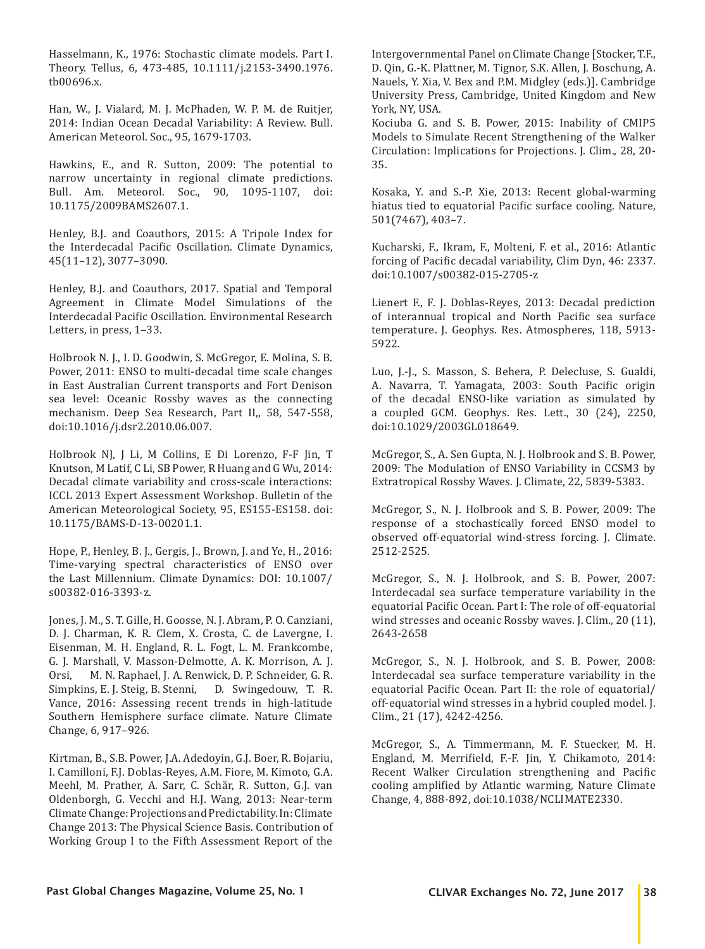Hasselmann, K., 1976: Stochastic climate models. Part I. Theory. Tellus, 6, 473-485, 10.1111/j.2153-3490.1976. tb00696.x.

Han, W., J. Vialard, M. J. McPhaden, W. P. M. de Ruitjer, 2014: Indian Ocean Decadal Variability: A Review. Bull. American Meteorol. Soc., 95, 1679-1703.

Hawkins, E., and R. Sutton, 2009: The potential to narrow uncertainty in regional climate predictions. Bull. Am. Meteorol. Soc., 90, 1095-1107, doi: 10.1175/2009BAMS2607.1.

Henley, B.J. and Coauthors, 2015: A Tripole Index for the Interdecadal Pacific Oscillation. Climate Dynamics, 45(11–12), 3077–3090.

Henley, B.J. and Coauthors, 2017. Spatial and Temporal Agreement in Climate Model Simulations of the Interdecadal Pacific Oscillation. Environmental Research Letters, in press, 1–33.

Holbrook N. J., I. D. Goodwin, S. McGregor, E. Molina, S. B. Power, 2011: ENSO to multi-decadal time scale changes in East Australian Current transports and Fort Denison sea level: Oceanic Rossby waves as the connecting mechanism. Deep Sea Research, Part II,, 58, 547-558, doi:10.1016/j.dsr2.2010.06.007.

Holbrook NJ, J Li, M Collins, E Di Lorenzo, F-F Jin, T Knutson, M Latif, C Li, SB Power, R Huang and G Wu, 2014: Decadal climate variability and cross-scale interactions: ICCL 2013 Expert Assessment Workshop. Bulletin of the American Meteorological Society, 95, ES155-ES158. doi: 10.1175/BAMS-D-13-00201.1.

Hope, P., Henley, B. J., Gergis, J., Brown, J. and Ye, H., 2016: Time-varying spectral characteristics of ENSO over the Last Millennium. Climate Dynamics: DOI: 10.1007/ s00382-016-3393-z.

Jones, J. M., S. T. Gille, H. Goosse, N. J. Abram, P. O. Canziani, D. J. Charman, K. R. Clem, X. Crosta, C. de Lavergne, I. Eisenman, M. H. England, R. L. Fogt, L. M. Frankcombe, G. J. Marshall, V. Masson-Delmotte, A. K. Morrison, A. J. Orsi, M. N. Raphael, J. A. Renwick, D. P. Schneider, G. R. M. N. Raphael, J. A. Renwick, D. P. Schneider, G. R. Simpkins, E. J. Steig, B. Stenni, D. Swingedouw, T. R. Vance, 2016: Assessing recent trends in high-latitude Southern Hemisphere surface climate. Nature Climate Change, 6, 917–926.

Kirtman, B., S.B. Power, J.A. Adedoyin, G.J. Boer, R. Bojariu, I. Camilloni, F.J. Doblas-Reyes, A.M. Fiore, M. Kimoto, G.A. Meehl, M. Prather, A. Sarr, C. Schär, R. Sutton, G.J. van Oldenborgh, G. Vecchi and H.J. Wang, 2013: Near-term Climate Change: Projections and Predictability. In: Climate Change 2013: The Physical Science Basis. Contribution of Working Group I to the Fifth Assessment Report of the Intergovernmental Panel on Climate Change [Stocker, T.F., D. Qin, G.-K. Plattner, M. Tignor, S.K. Allen, J. Boschung, A. Nauels, Y. Xia, V. Bex and P.M. Midgley (eds.)]. Cambridge University Press, Cambridge, United Kingdom and New York, NY, USA.

Kociuba G. and S. B. Power, 2015: Inability of CMIP5 Models to Simulate Recent Strengthening of the Walker Circulation: Implications for Projections. J. Clim., 28, 20- 35.

Kosaka, Y. and S.-P. Xie, 2013: Recent global-warming hiatus tied to equatorial Pacific surface cooling. Nature, 501(7467), 403–7.

Kucharski, F., Ikram, F., Molteni, F. et al., 2016: Atlantic forcing of Pacific decadal variability, Clim Dyn, 46: 2337. doi:10.1007/s00382-015-2705-z

Lienert F., F. J. Doblas-Reyes, 2013: Decadal prediction of interannual tropical and North Pacific sea surface temperature. J. Geophys. Res. Atmospheres, 118, 5913- 5922.

Luo, J.-J., S. Masson, S. Behera, P. Delecluse, S. Gualdi, A. Navarra, T. Yamagata, 2003: South Pacific origin of the decadal ENSO-like variation as simulated by a coupled GCM. Geophys. Res. Lett., 30 (24), 2250, doi:10.1029/2003GL018649.

McGregor, S., A. Sen Gupta, N. J. Holbrook and S. B. Power, 2009: The Modulation of ENSO Variability in CCSM3 by Extratropical Rossby Waves. J. Climate, 22, 5839-5383.

McGregor, S., N. J. Holbrook and S. B. Power, 2009: The response of a stochastically forced ENSO model to observed off-equatorial wind-stress forcing. J. Climate. 2512-2525.

McGregor, S., N. J. Holbrook, and S. B. Power, 2007: Interdecadal sea surface temperature variability in the equatorial Pacific Ocean. Part I: The role of off-equatorial wind stresses and oceanic Rossby waves. J. Clim., 20 (11), 2643-2658

McGregor, S., N. J. Holbrook, and S. B. Power, 2008: Interdecadal sea surface temperature variability in the equatorial Pacific Ocean. Part II: the role of equatorial/ off-equatorial wind stresses in a hybrid coupled model. J. Clim., 21 (17), 4242-4256.

McGregor, S., A. Timmermann, M. F. Stuecker, M. H. England, M. Merrifield, F.-F. Jin, Y. Chikamoto, 2014: Recent Walker Circulation strengthening and Pacific cooling amplified by Atlantic warming, Nature Climate Change, 4, 888-892, doi:10.1038/NCLIMATE2330.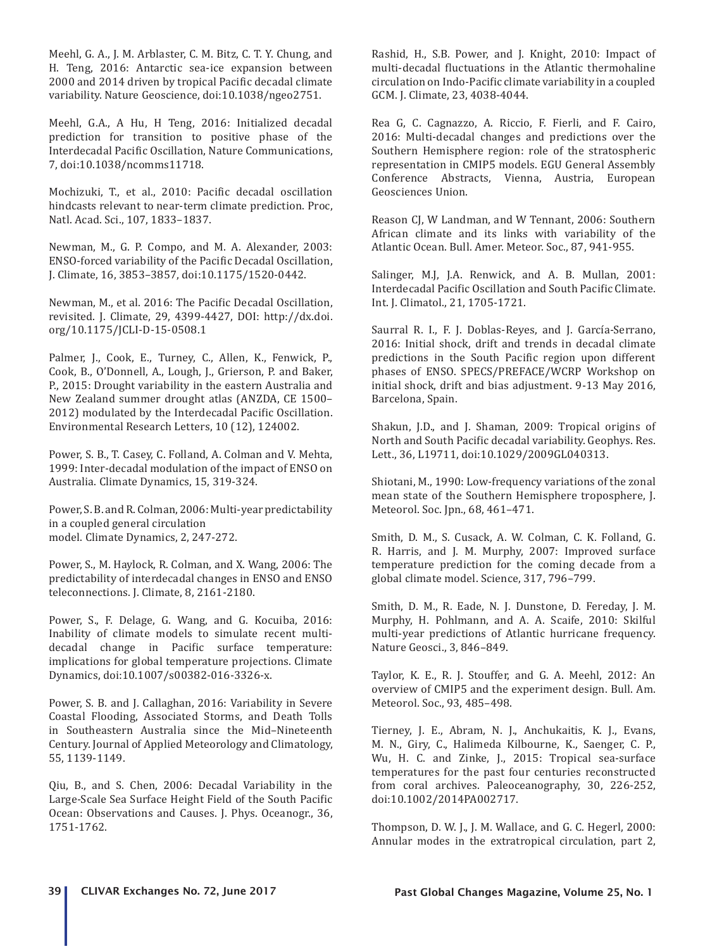Meehl, G. A., J. M. Arblaster, C. M. Bitz, C. T. Y. Chung, and H. Teng, 2016: Antarctic sea-ice expansion between 2000 and 2014 driven by tropical Pacific decadal climate variability. Nature Geoscience, doi:10.1038/ngeo2751.

Meehl, G.A., A Hu, H Teng, 2016: Initialized decadal prediction for transition to positive phase of the Interdecadal Pacific Oscillation, Nature Communications, 7, doi:10.1038/ncomms11718.

Mochizuki, T., et al., 2010: Pacific decadal oscillation hindcasts relevant to near-term climate prediction. Proc, Natl. Acad. Sci., 107, 1833–1837.

Newman, M., G. P. Compo, and M. A. Alexander, 2003: ENSO-forced variability of the Pacific Decadal Oscillation, J. Climate, 16, 3853–3857, doi:10.1175/1520-0442.

Newman, M., et al. 2016: The Pacific Decadal Oscillation, revisited. J. Climate, 29, 4399-4427, DOI: http://dx.doi. org/10.1175/JCLI-D-15-0508.1

Palmer, J., Cook, E., Turney, C., Allen, K., Fenwick, P., Cook, B., O'Donnell, A., Lough, J., Grierson, P. and Baker, P., 2015: Drought variability in the eastern Australia and New Zealand summer drought atlas (ANZDA, CE 1500– 2012) modulated by the Interdecadal Pacific Oscillation. Environmental Research Letters, 10 (12), 124002.

Power, S. B., T. Casey, C. Folland, A. Colman and V. Mehta, 1999: Inter-decadal modulation of the impact of ENSO on Australia. Climate Dynamics, 15, 319-324.

Power, S. B. and R. Colman, 2006: Multi-year predictability in a coupled general circulation model. Climate Dynamics, 2, 247-272.

Power, S., M. Haylock, R. Colman, and X. Wang, 2006: The predictability of interdecadal changes in ENSO and ENSO teleconnections. J. Climate, 8, 2161-2180.

Power, S., F. Delage, G. Wang, and G. Kocuiba, 2016: Inability of climate models to simulate recent multidecadal change in Pacific surface temperature: implications for global temperature projections. Climate Dynamics, doi:10.1007/s00382-016-3326-x.

Power, S. B. and J. Callaghan, 2016: Variability in Severe Coastal Flooding, Associated Storms, and Death Tolls in Southeastern Australia since the Mid–Nineteenth Century. Journal of Applied Meteorology and Climatology, 55, 1139-1149.

Qiu, B., and S. Chen, 2006: Decadal Variability in the Large-Scale Sea Surface Height Field of the South Pacific Ocean: Observations and Causes. J. Phys. Oceanogr., 36, 1751-1762.

Rashid, H., S.B. Power, and J. Knight, 2010: Impact of multi-decadal fluctuations in the Atlantic thermohaline circulation on Indo-Pacific climate variability in a coupled GCM. J. Climate, 23, 4038-4044.

Rea G, C. Cagnazzo, A. Riccio, F. Fierli, and F. Cairo, 2016: Multi-decadal changes and predictions over the Southern Hemisphere region: role of the stratospheric representation in CMIP5 models. EGU General Assembly Conference Abstracts, Vienna, Austria, European Geosciences Union.

Reason CJ, W Landman, and W Tennant, 2006: Southern African climate and its links with variability of the Atlantic Ocean. Bull. Amer. Meteor. Soc., 87, 941-955.

Salinger, M.J, J.A. Renwick, and A. B. Mullan, 2001: Interdecadal Pacific Oscillation and South Pacific Climate. Int. J. Climatol., 21, 1705-1721.

Saurral R. I., F. J. Doblas-Reyes, and J. García-Serrano, 2016: Initial shock, drift and trends in decadal climate predictions in the South Pacific region upon different phases of ENSO. SPECS/PREFACE/WCRP Workshop on initial shock, drift and bias adjustment. 9-13 May 2016, Barcelona, Spain.

Shakun, J.D., and J. Shaman, 2009: Tropical origins of North and South Pacific decadal variability. Geophys. Res. Lett., 36, L19711, doi:10.1029/2009GL040313.

Shiotani, M., 1990: Low-frequency variations of the zonal mean state of the Southern Hemisphere troposphere, J. Meteorol. Soc. Jpn., 68, 461–471.

Smith, D. M., S. Cusack, A. W. Colman, C. K. Folland, G. R. Harris, and J. M. Murphy, 2007: Improved surface temperature prediction for the coming decade from a global climate model. Science, 317, 796–799.

Smith, D. M., R. Eade, N. J. Dunstone, D. Fereday, J. M. Murphy, H. Pohlmann, and A. A. Scaife, 2010: Skilful multi-year predictions of Atlantic hurricane frequency. Nature Geosci., 3, 846–849.

Taylor, K. E., R. J. Stouffer, and G. A. Meehl, 2012: An overview of CMIP5 and the experiment design. Bull. Am. Meteorol. Soc., 93, 485–498.

Tierney, J. E., Abram, N. J., Anchukaitis, K. J., Evans, M. N., Giry, C., Halimeda Kilbourne, K., Saenger, C. P., Wu, H. C. and Zinke, J., 2015: Tropical sea-surface temperatures for the past four centuries reconstructed from coral archives. Paleoceanography, 30, 226-252, doi:10.1002/2014PA002717.

Thompson, D. W. J., J. M. Wallace, and G. C. Hegerl, 2000: Annular modes in the extratropical circulation, part 2,